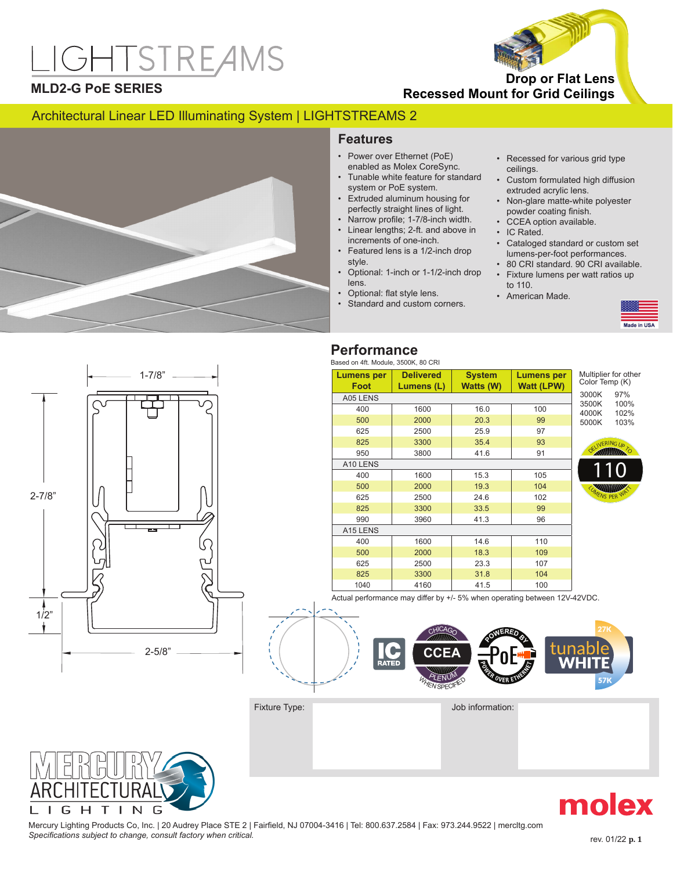# **IGHTSTREAMS**



## **MLD2-G PoE SERIES**

**Recessed Mount for Grid Ceilings Drop or Flat Lens** 

# Architectural Linear LED Illuminating System | LIGHTSTREAMS 2



# **Features**

- Power over Ethernet (PoE) enabled as Molex CoreSync.
- Tunable white feature for standard system or PoE system.
- Extruded aluminum housing for perfectly straight lines of light.
- Narrow profile; 1-7/8-inch width.
- Linear lengths; 2-ft. and above in increments of one-inch.
- Featured lens is a 1/2-inch drop style.
- Optional: 1-inch or 1-1/2-inch drop lens.
	- Optional: flat style lens.
- Standard and custom corners.
- Recessed for various grid type ceilings.
- Custom formulated high diffusion extruded acrylic lens.
- Non-glare matte-white polyester powder coating finish.
- CCEA option available.
- IC Rated.
- Cataloged standard or custom set lumens-per-foot performances.
- 80 CRI standard. 90 CRI available. • Fixture lumens per watt ratios up to 110.
- American Made.



# 1/2" 2-5/8" 1-7/8" 2-7/8"

# **Performance**

| Lumens per | <b>Delivered</b> | <b>System</b> | <b>Lumens per</b> | Multiplier for oth |              |
|------------|------------------|---------------|-------------------|--------------------|--------------|
| Foot       | Lumens (L)       | Watts (W)     | <b>Watt (LPW)</b> | Color Temp (K)     |              |
| A05 LENS   |                  |               |                   | 3000K              | 97%          |
| 400        | 1600             | 16.0          | 100               | 3500K<br>4000K     | 100%<br>102% |
| 500        | 2000             | 20.3          | 99                | 5000K              | 103%         |
| 625        | 2500             | 25.9          | 97                |                    |              |
| 825        | 3300             | 35.4          | 93                | OELIVERING Up      |              |
| 950        | 3800             | 41.6          | 91                |                    | TO           |
| A10 LENS   |                  |               |                   |                    |              |
| 400        | 1600             | 15.3          | 105               |                    |              |
| 500        | 2000             | 19.3          | 104               |                    |              |
| 625        | 2500             | 24.6          | 102               | LUMENS PER W       |              |
| 825        | 3300             | 33.5          | 99                |                    |              |
| 990        | 3960             | 41.3          | 96                |                    |              |
| A15 LENS   |                  |               |                   |                    |              |
| 400        | 1600             | 14.6          | 110               |                    |              |
| 500        | 2000             | 18.3          | 109               |                    |              |
| 625        | 2500             | 23.3          | 107               |                    |              |
| 825        | 3300             | 31.8          | 104               |                    |              |
| 1040       | 4160             | 41.5          | 100               |                    |              |





Fixture Type: Job information:



Mercury Lighting Products Co, Inc. | 20 Audrey Place STE 2 | Fairfield, NJ 07004-3416 | Tel: 800.637.2584 | Fax: 973.244.9522 | mercltg.com Specifications subject to change, consult factory when critical. **Specifical** example of the state of the state of the state of the state of the state of the state of the state of the state of the state of the state of the

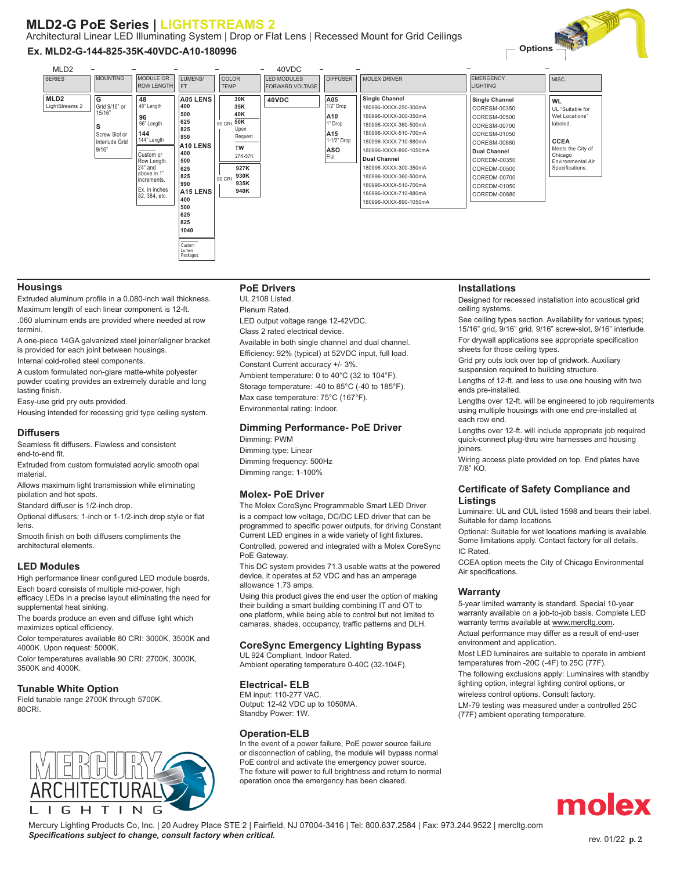# **MLD2-G PoE Series | LIGHTSTREAMS 2**

Architectural Linear LED Illuminating System | Drop or Flat Lens | Recessed Mount for Grid Ceilings

#### **Ex. MLD2-G-144-825-35K-40VDC-A10-180996**



#### **Housings**

Extruded aluminum profile in a 0.080-inch wall thickness. Maximum length of each linear component is 12-ft. .060 aluminum ends are provided where needed at row termini.

A one-piece 14GA galvanized steel joiner/aligner bracket is provided for each joint between housings.

Internal cold-rolled steel components.

A custom formulated non-glare matte-white polyester powder coating provides an extremely durable and long lasting finish.

Easy-use grid pry outs provided.

Housing intended for recessing grid type ceiling system.

#### **Diffusers**

Seamless fit diffusers. Flawless and consistent end-to-end fit.

Extruded from custom formulated acrylic smooth opal material.

Allows maximum light transmission while eliminating pixilation and hot spots.

Standard diffuser is 1/2-inch drop.

Optional diffusers; 1-inch or 1-1/2-inch drop style or flat lens.

Smooth finish on both diffusers compliments the architectural elements.

#### **LED Modules**

High performance linear configured LED module boards. Each board consists of multiple mid-power, high

efficacy LEDs in a precise layout eliminating the need for supplemental heat sinking.

The boards produce an even and diffuse light which maximizes optical efficiency.

Color temperatures available 80 CRI: 3000K, 3500K and 4000K. Upon request: 5000K. Color temperatures available 90 CRI: 2700K, 3000K,

3500K and 4000K.

#### **Tunable White Option**

Field tunable range 2700K through 5700K. 80CRI.



#### **PoE Drivers**

UL 2108 Listed. Plenum Rated. LED output voltage range 12-42VDC. Class 2 rated electrical device. Available in both single channel and dual channel. Efficiency: 92% (typical) at 52VDC input, full load. Constant Current accuracy +/- 3%. Ambient temperature: 0 to 40°C (32 to 104°F). Storage temperature: -40 to 85°C (-40 to 185°F). Max case temperature: 75°C (167°F).

Environmental rating: Indoor.

### **Dimming Performance- PoE Driver**

Dimming: PWM Dimming type: Linear Dimming frequency: 500Hz Dimming range: 1-100%

#### **Molex- PoE Driver**

The Molex CoreSync Programmable Smart LED Driver is a compact low voltage, DC/DC LED driver that can be programmed to specific power outputs, for driving Constant Current LED engines in a wide variety of light fixtures. Controlled, powered and integrated with a Molex CoreSync

PoE Gateway. This DC system provides 71.3 usable watts at the powered

device, it operates at 52 VDC and has an amperage allowance 1.73 amps.

Using this product gives the end user the option of making their building a smart building combining IT and OT to one platform, while being able to control but not limited to camaras, shades, occupancy, traffic patterns and DLH.

#### **CoreSync Emergency Lighting Bypass**

UL 924 Compliant, Indoor Rated. Ambient operating temperature 0-40C (32-104F).

#### **Electrical- ELB**

EM input: 110-277 VAC. Output: 12-42 VDC up to 1050MA. Standby Power: 1W.

#### **Operation-ELB**

In the event of a power failure, PoE power source failure or disconnection of cabling, the module will bypass normal PoE control and activate the emergency power source. The fixture will power to full brightness and return to normal operation once the emergency has been cleared.

#### **Installations**

Designed for recessed installation into acoustical grid ceiling systems.

See ceiling types section. Availability for various types; 15/16" grid, 9/16" grid, 9/16" screw-slot, 9/16" interlude. For drywall applications see appropriate specification sheets for those ceiling types.

Grid pry outs lock over top of gridwork. Auxiliary suspension required to building structure.

Lengths of 12-ft. and less to use one housing with two ends pre-installed.

Lengths over 12-ft. will be engineered to job requirements using multiple housings with one end pre-installed at each row end.

Lengths over 12-ft. will include appropriate job required quick-connect plug-thru wire harnesses and housing joiners.

Wiring access plate provided on top. End plates have 7/8" KO.

#### **Certificate of Safety Compliance and Listings**

Luminaire: UL and CUL listed 1598 and bears their label. Suitable for damp locations.

Optional: Suitable for wet locations marking is available. Some limitations apply. Contact factory for all details. IC Rated.

CCEA option meets the City of Chicago Environmental Air specifications.

#### **Warranty**

5-year limited warranty is standard. Special 10-year warranty available on a job-to-job basis. Complete LED warranty terms available at www.mercltg.com. Actual performance may differ as a result of end-user

environment and application. Most LED luminaires are suitable to operate in ambient

temperatures from -20C (-4F) to 25C (77F). The following exclusions apply: Luminaires with standby lighting option, integral lighting control options, or

wireless control options. Consult factory. LM-79 testing was measured under a controlled 25C

(77F) ambient operating temperature.



Mercury Lighting Products Co, Inc. | 20 Audrey Place STE 2 | Fairfield, NJ 07004-3416 | Tel: 800.637.2584 | Fax: 973.244.9522 | mercltg.com **Specifications subject to change, consult factory when critical. Specifical is a set of the consult of the consult factory when critical. Specifications subject to change, consult factory when critical. All and the**